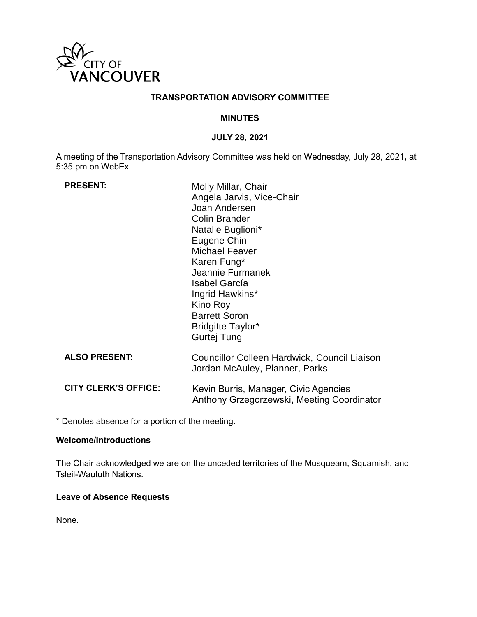

## **TRANSPORTATION ADVISORY COMMITTEE**

#### **MINUTES**

#### **JULY 28, 2021**

A meeting of the Transportation Advisory Committee was held on Wednesday, July 28, 2021**,** at 5:35 pm on WebEx.

| <b>PRESENT:</b>             | Molly Millar, Chair<br>Angela Jarvis, Vice-Chair<br>Joan Andersen<br><b>Colin Brander</b><br>Natalie Buglioni*<br>Eugene Chin<br><b>Michael Feaver</b><br>Karen Fung*<br>Jeannie Furmanek<br><b>Isabel García</b><br>Ingrid Hawkins*<br>Kino Roy<br><b>Barrett Soron</b><br><b>Bridgitte Taylor*</b><br>Gurtej Tung |
|-----------------------------|---------------------------------------------------------------------------------------------------------------------------------------------------------------------------------------------------------------------------------------------------------------------------------------------------------------------|
| <b>ALSO PRESENT:</b>        | Councillor Colleen Hardwick, Council Liaison<br>Jordan McAuley, Planner, Parks                                                                                                                                                                                                                                      |
| <b>CITY CLERK'S OFFICE:</b> | Kevin Burris, Manager, Civic Agencies<br>Anthony Grzegorzewski, Meeting Coordinator                                                                                                                                                                                                                                 |

\* Denotes absence for a portion of the meeting.

#### **Welcome/Introductions**

The Chair acknowledged we are on the unceded territories of the Musqueam, Squamish, and Tsleil-Waututh Nations.

#### **Leave of Absence Requests**

None.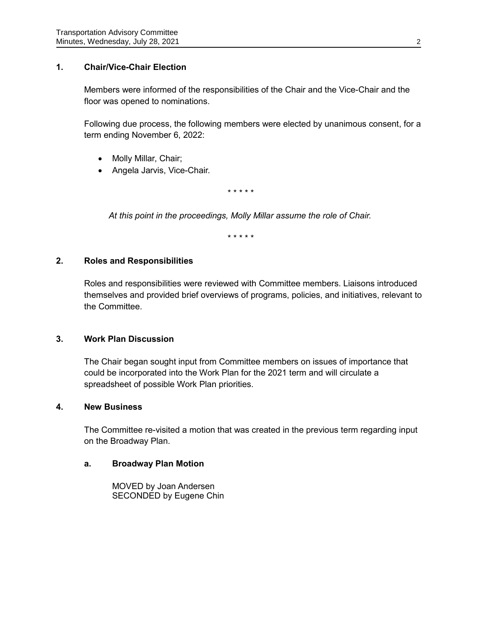## **1. Chair/Vice-Chair Election**

Members were informed of the responsibilities of the Chair and the Vice-Chair and the floor was opened to nominations.

Following due process, the following members were elected by unanimous consent, for a term ending November 6, 2022:

- Molly Millar, Chair;
- Angela Jarvis, Vice-Chair.

*\* \* \* \* \**

*At this point in the proceedings, Molly Millar assume the role of Chair.*

*\* \* \* \* \**

#### **2. Roles and Responsibilities**

Roles and responsibilities were reviewed with Committee members. Liaisons introduced themselves and provided brief overviews of programs, policies, and initiatives, relevant to the Committee.

### **3. Work Plan Discussion**

The Chair began sought input from Committee members on issues of importance that could be incorporated into the Work Plan for the 2021 term and will circulate a spreadsheet of possible Work Plan priorities.

#### **4. New Business**

The Committee re-visited a motion that was created in the previous term regarding input on the Broadway Plan.

#### **a. Broadway Plan Motion**

MOVED by Joan Andersen SECONDED by Eugene Chin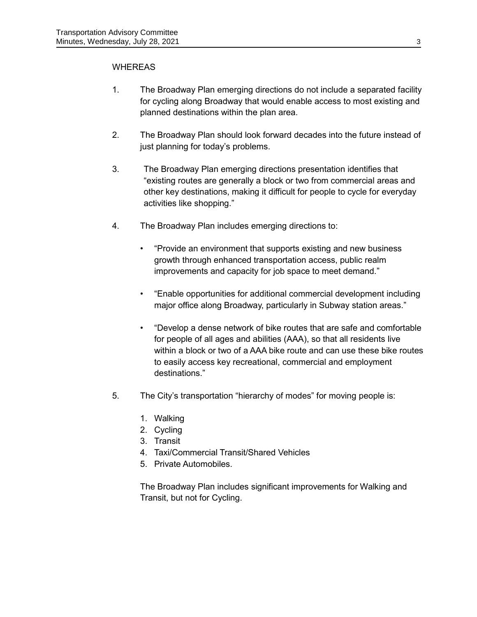### WHEREAS

- 1. The Broadway Plan emerging directions do not include a separated facility for cycling along Broadway that would enable access to most existing and planned destinations within the plan area.
- 2. The Broadway Plan should look forward decades into the future instead of just planning for today's problems.
- 3. The Broadway Plan emerging directions presentation identifies that "existing routes are generally a block or two from commercial areas and other key destinations, making it difficult for people to cycle for everyday activities like shopping."
- 4. The Broadway Plan includes emerging directions to:
	- "Provide an environment that supports existing and new business growth through enhanced transportation access, public realm improvements and capacity for job space to meet demand."
	- "Enable opportunities for additional commercial development including major office along Broadway, particularly in Subway station areas."
	- "Develop a dense network of bike routes that are safe and comfortable for people of all ages and abilities (AAA), so that all residents live within a block or two of a AAA bike route and can use these bike routes to easily access key recreational, commercial and employment destinations."
- 5. The City's transportation "hierarchy of modes" for moving people is:
	- 1. Walking
	- 2. Cycling
	- 3. Transit
	- 4. Taxi/Commercial Transit/Shared Vehicles
	- 5. Private Automobiles.

The Broadway Plan includes significant improvements for Walking and Transit, but not for Cycling.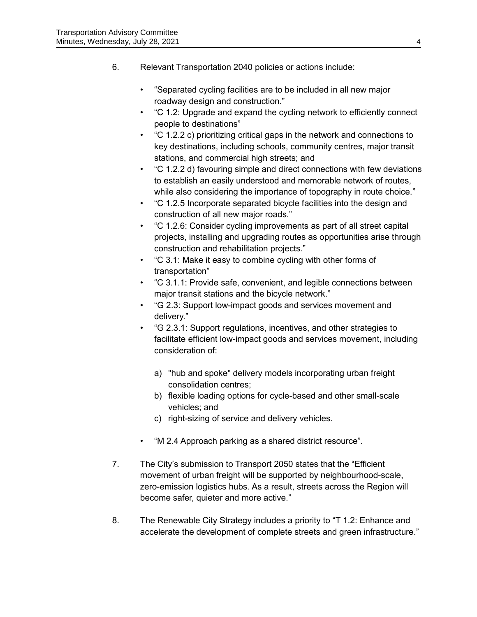- 6. Relevant Transportation 2040 policies or actions include:
	- "Separated cycling facilities are to be included in all new major roadway design and construction."
	- "C 1.2: Upgrade and expand the cycling network to efficiently connect people to destinations"
	- "C 1.2.2 c) prioritizing critical gaps in the network and connections to key destinations, including schools, community centres, major transit stations, and commercial high streets; and
	- "C 1.2.2 d) favouring simple and direct connections with few deviations to establish an easily understood and memorable network of routes, while also considering the importance of topography in route choice."
	- "C 1.2.5 Incorporate separated bicycle facilities into the design and construction of all new major roads."
	- "C 1.2.6: Consider cycling improvements as part of all street capital projects, installing and upgrading routes as opportunities arise through construction and rehabilitation projects."
	- "C 3.1: Make it easy to combine cycling with other forms of transportation"
	- "C 3.1.1: Provide safe, convenient, and legible connections between major transit stations and the bicycle network."
	- "G 2.3: Support low-impact goods and services movement and delivery."
	- "G 2.3.1: Support regulations, incentives, and other strategies to facilitate efficient low-impact goods and services movement, including consideration of:
		- a) "hub and spoke" delivery models incorporating urban freight consolidation centres;
		- b) flexible loading options for cycle-based and other small-scale vehicles; and
		- c) right-sizing of service and delivery vehicles.
	- "M 2.4 Approach parking as a shared district resource".
- 7. The City's submission to Transport 2050 states that the "Efficient movement of urban freight will be supported by neighbourhood-scale, zero-emission logistics hubs. As a result, streets across the Region will become safer, quieter and more active."
- 8. The Renewable City Strategy includes a priority to "T 1.2: Enhance and accelerate the development of complete streets and green infrastructure."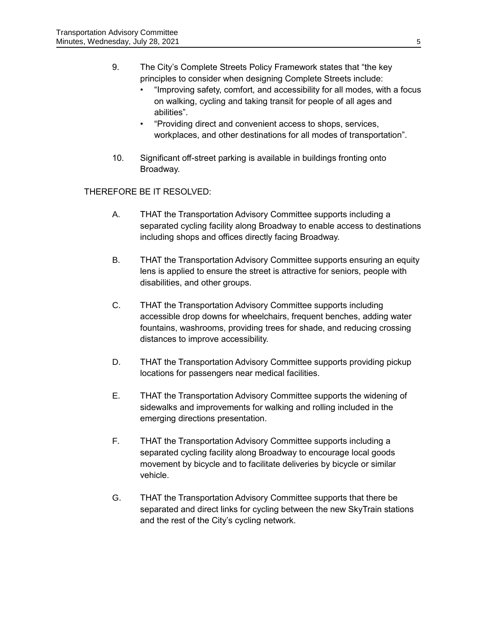- 9. The City's Complete Streets Policy Framework states that "the key principles to consider when designing Complete Streets include:
	- "Improving safety, comfort, and accessibility for all modes, with a focus on walking, cycling and taking transit for people of all ages and abilities".
	- "Providing direct and convenient access to shops, services, workplaces, and other destinations for all modes of transportation".
- 10. Significant off-street parking is available in buildings fronting onto Broadway.

# THEREFORE BE IT RESOLVED:

- A. THAT the Transportation Advisory Committee supports including a separated cycling facility along Broadway to enable access to destinations including shops and offices directly facing Broadway.
- B. THAT the Transportation Advisory Committee supports ensuring an equity lens is applied to ensure the street is attractive for seniors, people with disabilities, and other groups.
- C. THAT the Transportation Advisory Committee supports including accessible drop downs for wheelchairs, frequent benches, adding water fountains, washrooms, providing trees for shade, and reducing crossing distances to improve accessibility.
- D. THAT the Transportation Advisory Committee supports providing pickup locations for passengers near medical facilities.
- E. THAT the Transportation Advisory Committee supports the widening of sidewalks and improvements for walking and rolling included in the emerging directions presentation.
- F. THAT the Transportation Advisory Committee supports including a separated cycling facility along Broadway to encourage local goods movement by bicycle and to facilitate deliveries by bicycle or similar vehicle.
- G. THAT the Transportation Advisory Committee supports that there be separated and direct links for cycling between the new SkyTrain stations and the rest of the City's cycling network.